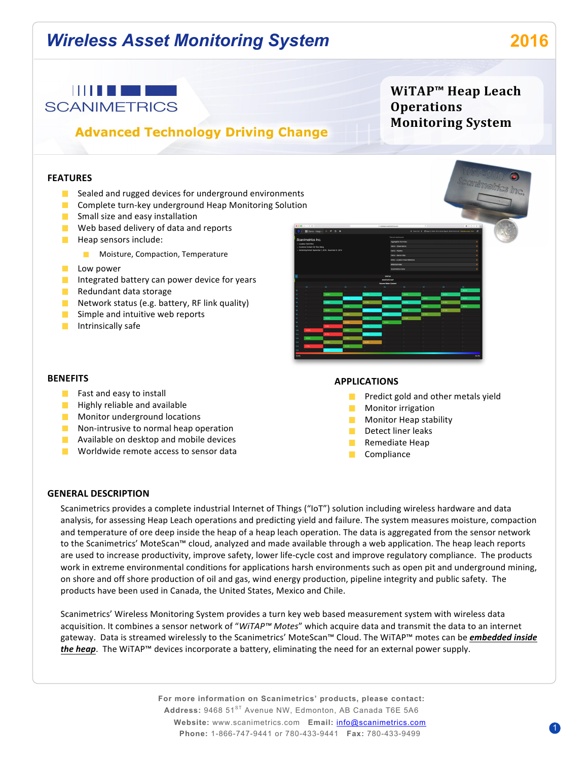# *Wireless Asset Monitoring System* **2016**

**WiTAP™ Heap Leach** 

**Monitoring System**

**Operations** 



# **Advanced Technology Driving Change**

### **FEATURES**

- Sealed and rugged devices for underground environments
- **Complete turn-key underground Heap Monitoring Solution**
- $\blacksquare$  Small size and easy installation
- $\blacksquare$  Web based delivery of data and reports
- $\blacksquare$  Heap sensors include:
	- **Moisture, Compaction, Temperature**
- **Low** power
- Integrated battery can power device for years
- $\blacksquare$  Redundant data storage
- Network status (e.g. battery, RF link quality)
- $\blacksquare$  Simple and intuitive web reports
- $\blacksquare$  Intrinsically safe



#### **BENEFITS**

- $\blacksquare$  Fast and easy to install
- $\blacksquare$  Highly reliable and available
- **Monitor underground locations**
- $\blacksquare$  Non-intrusive to normal heap operation
- **Available on desktop and mobile devices**
- $\blacksquare$  Worldwide remote access to sensor data

#### **APPLICATIONS**

- **Predict gold and other metals yield**
- **Monitor** irrigation
- $\blacksquare$  Monitor Heap stability
- $\blacksquare$  Detect liner leaks
- $\blacksquare$  Remediate Heap
- **Compliance**

#### **GENERAL DESCRIPTION**

Scanimetrics provides a complete industrial Internet of Things ("IoT") solution including wireless hardware and data analysis, for assessing Heap Leach operations and predicting yield and failure. The system measures moisture, compaction and temperature of ore deep inside the heap of a heap leach operation. The data is aggregated from the sensor network to the Scanimetrics' MoteScan™ cloud, analyzed and made available through a web application. The heap leach reports are used to increase productivity, improve safety, lower life-cycle cost and improve regulatory compliance. The products work in extreme environmental conditions for applications harsh environments such as open pit and underground mining, on shore and off shore production of oil and gas, wind energy production, pipeline integrity and public safety. The products have been used in Canada, the United States, Mexico and Chile.

Scanimetrics' Wireless Monitoring System provides a turn key web based measurement system with wireless data acquisition. It combines a sensor network of "WiTAP™ Motes" which acquire data and transmit the data to an internet gateway. Data is streamed wirelessly to the Scanimetrics' MoteScan™ Cloud. The WiTAP™ motes can be *embedded inside* the heap. The WiTAP™ devices incorporate a battery, eliminating the need for an external power supply.

> **For more information on Scanimetrics' products, please contact:** Address: 9468 51<sup>ST</sup> Avenue NW, Edmonton, AB Canada T6E 5A6 **Website:** www.scanimetrics.com **Email:** info@scanimetrics.com **Phone:** 1-866-747-9441 or 780-433-9441 **Fax:** 780-433-9499